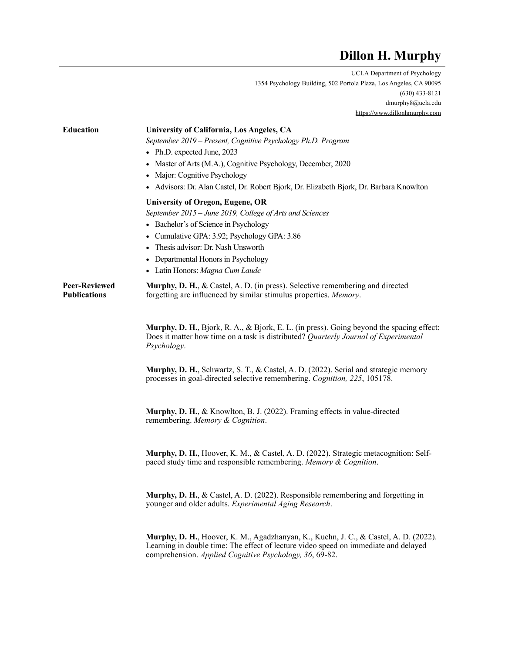# **Dillon H. Murphy**

UCLA Department of Psychology 1354 Psychology Building, 502 Portola Plaza, Los Angeles, CA 90095 (630) 433-8121 dmurphy8@ucla.edu <https://www.dillonhmurphy.com>

| <b>Education</b>                            | University of California, Los Angeles, CA<br>September 2019 - Present, Cognitive Psychology Ph.D. Program<br>• Ph.D. expected June, 2023<br>• Master of Arts (M.A.), Cognitive Psychology, December, 2020<br>• Major: Cognitive Psychology<br>• Advisors: Dr. Alan Castel, Dr. Robert Bjork, Dr. Elizabeth Bjork, Dr. Barbara Knowlton |
|---------------------------------------------|----------------------------------------------------------------------------------------------------------------------------------------------------------------------------------------------------------------------------------------------------------------------------------------------------------------------------------------|
|                                             | <b>University of Oregon, Eugene, OR</b><br>September 2015 – June 2019, College of Arts and Sciences<br>• Bachelor's of Science in Psychology<br>• Cumulative GPA: 3.92; Psychology GPA: 3.86<br>• Thesis advisor: Dr. Nash Unsworth<br>• Departmental Honors in Psychology<br>• Latin Honors: Magna Cum Laude                          |
| <b>Peer-Reviewed</b><br><b>Publications</b> | <b>Murphy, D. H., &amp; Castel, A. D. (in press). Selective remembering and directed</b><br>forgetting are influenced by similar stimulus properties. Memory.                                                                                                                                                                          |
|                                             | <b>Murphy, D. H., Bjork, R. A., &amp; Bjork, E. L. (in press). Going beyond the spacing effect:</b><br>Does it matter how time on a task is distributed? Quarterly Journal of Experimental<br>Psychology.                                                                                                                              |
|                                             | <b>Murphy, D. H.</b> , Schwartz, S. T., & Castel, A. D. (2022). Serial and strategic memory<br>processes in goal-directed selective remembering. Cognition, 225, 105178.                                                                                                                                                               |
|                                             | Murphy, D. H., & Knowlton, B. J. (2022). Framing effects in value-directed<br>remembering. Memory & Cognition.                                                                                                                                                                                                                         |
|                                             | Murphy, D. H., Hoover, K. M., & Castel, A. D. (2022). Strategic metacognition: Self-<br>paced study time and responsible remembering. Memory & Cognition.                                                                                                                                                                              |
|                                             | Murphy, D. H., & Castel, A. D. (2022). Responsible remembering and forgetting in<br>younger and older adults. Experimental Aging Research.                                                                                                                                                                                             |
|                                             | Murphy, D. H., Hoover, K. M., Agadzhanyan, K., Kuehn, J. C., & Castel, A. D. (2022).<br>Learning in double time: The effect of lecture video speed on immediate and delayed<br>comprehension. Applied Cognitive Psychology, 36, 69-82.                                                                                                 |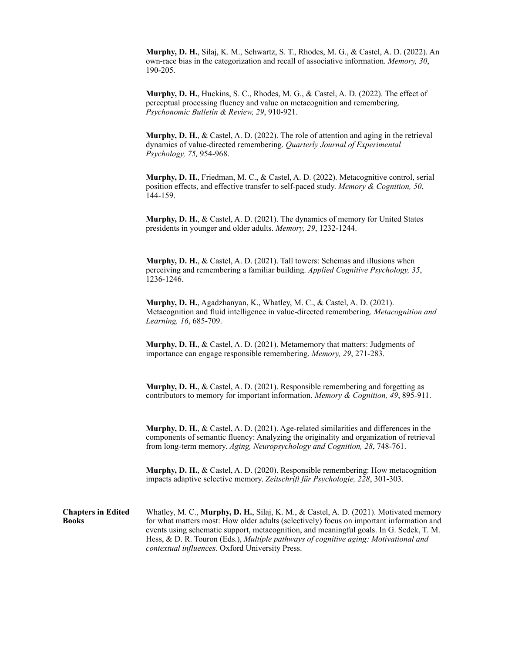**Murphy, D. H.**, Silaj, K. M., Schwartz, S. T., Rhodes, M. G., & Castel, A. D. (2022). An own-race bias in the categorization and recall of associative information. *Memory, 30*, 190-205.

**Murphy, D. H.**, Huckins, S. C., Rhodes, M. G., & Castel, A. D. (2022). The effect of perceptual processing fluency and value on metacognition and remembering. *Psychonomic Bulletin & Review, 29*, 910-921.

**Murphy, D. H.**, & Castel, A. D. (2022). The role of attention and aging in the retrieval dynamics of value-directed remembering. *Quarterly Journal of Experimental Psychology, 75,* 954-968.

**Murphy, D. H.**, Friedman, M. C., & Castel, A. D. (2022). Metacognitive control, serial position effects, and effective transfer to self-paced study. *Memory & Cognition, 50*, 144-159.

**Murphy, D. H.**, & Castel, A. D. (2021). The dynamics of memory for United States presidents in younger and older adults. *Memory, 29*, 1232-1244.

**Murphy, D. H.**, & Castel, A. D. (2021). Tall towers: Schemas and illusions when perceiving and remembering a familiar building. *Applied Cognitive Psychology, 35*, 1236-1246.

**Murphy, D. H.**, Agadzhanyan, K., Whatley, M. C., & Castel, A. D. (2021). Metacognition and fluid intelligence in value-directed remembering. *Metacognition and Learning, 16*, 685-709.

**Murphy, D. H.**, & Castel, A. D. (2021). Metamemory that matters: Judgments of importance can engage responsible remembering. *Memory, 29*, 271-283.

**Murphy, D. H.**, & Castel, A. D. (2021). Responsible remembering and forgetting as contributors to memory for important information. *Memory & Cognition, 49*, 895-911.

**Murphy, D. H.**, & Castel, A. D. (2021). Age-related similarities and differences in the components of semantic fluency: Analyzing the originality and organization of retrieval from long-term memory. *Aging, Neuropsychology and Cognition, 28*, 748-761.

**Murphy, D. H.**, & Castel, A. D. (2020). Responsible remembering: How metacognition impacts adaptive selective memory. *Zeitschrift für Psychologie, 228*, 301-303.

**Chapters in Edited Books** Whatley, M. C., **Murphy, D. H.**, Silaj, K. M., & Castel, A. D. (2021). Motivated memory for what matters most: How older adults (selectively) focus on important information and events using schematic support, metacognition, and meaningful goals. In G. Sedek, T. M. Hess, & D. R. Touron (Eds.), *Multiple pathways of cognitive aging: Motivational and contextual influences*. Oxford University Press.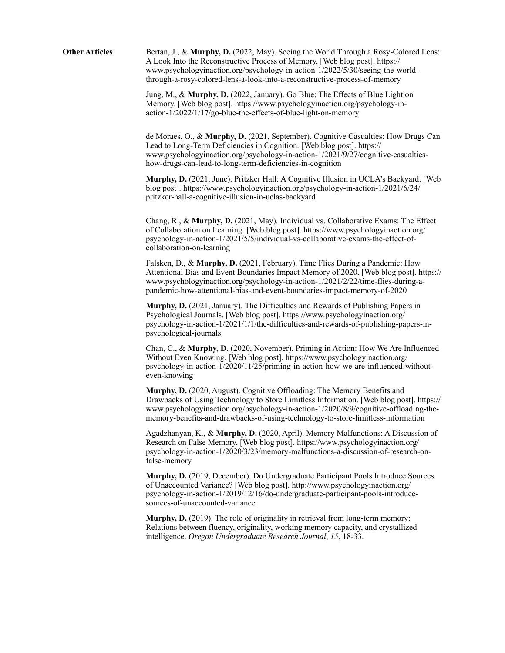**Other Articles** Bertan, J., & **Murphy, D.** (2022, May). Seeing the World Through a Rosy-Colored Lens: A Look Into the Reconstructive Process of Memory. [Web blog post]. https:// www.psychologyinaction.org/psychology-in-action-1/2022/5/30/seeing-the-worldthrough-a-rosy-colored-lens-a-look-into-a-reconstructive-process-of-memory

> Jung, M., & **Murphy, D.** (2022, January). Go Blue: The Effects of Blue Light on Memory. [Web blog post]. https://www.psychologyinaction.org/psychology-inaction-1/2022/1/17/go-blue-the-effects-of-blue-light-on-memory

de Moraes, O., & **Murphy, D.** (2021, September). Cognitive Casualties: How Drugs Can Lead to Long-Term Deficiencies in Cognition. [Web blog post]. https:// www.psychologyinaction.org/psychology-in-action-1/2021/9/27/cognitive-casualtieshow-drugs-can-lead-to-long-term-deficiencies-in-cognition

**Murphy, D.** (2021, June). Pritzker Hall: A Cognitive Illusion in UCLA's Backyard. [Web blog post]. https://www.psychologyinaction.org/psychology-in-action-1/2021/6/24/ pritzker-hall-a-cognitive-illusion-in-uclas-backyard

Chang, R., & **Murphy, D.** (2021, May). Individual vs. Collaborative Exams: The Effect of Collaboration on Learning. [Web blog post]. https://www.psychologyinaction.org/ psychology-in-action-1/2021/5/5/individual-vs-collaborative-exams-the-effect-ofcollaboration-on-learning

Falsken, D., & **Murphy, D.** (2021, February). Time Flies During a Pandemic: How Attentional Bias and Event Boundaries Impact Memory of 2020. [Web blog post]. https:// www.psychologyinaction.org/psychology-in-action-1/2021/2/22/time-flies-during-apandemic-how-attentional-bias-and-event-boundaries-impact-memory-of-2020

**Murphy, D.** (2021, January). The Difficulties and Rewards of Publishing Papers in Psychological Journals. [Web blog post]. https://www.psychologyinaction.org/ psychology-in-action-1/2021/1/1/the-difficulties-and-rewards-of-publishing-papers-inpsychological-journals

Chan, C., & **Murphy, D.** (2020, November). Priming in Action: How We Are Influenced Without Even Knowing. [Web blog post]. https://www.psychologyinaction.org/ psychology-in-action-1/2020/11/25/priming-in-action-how-we-are-influenced-withouteven-knowing

**Murphy, D.** (2020, August). Cognitive Offloading: The Memory Benefits and Drawbacks of Using Technology to Store Limitless Information. [Web blog post]. https:// www.psychologyinaction.org/psychology-in-action-1/2020/8/9/cognitive-offloading-thememory-benefits-and-drawbacks-of-using-technology-to-store-limitless-information

Agadzhanyan, K., & **Murphy, D.** (2020, April). Memory Malfunctions: A Discussion of Research on False Memory. [Web blog post]. https://www.psychologyinaction.org/ psychology-in-action-1/2020/3/23/memory-malfunctions-a-discussion-of-research-onfalse-memory

**Murphy, D.** (2019, December). Do Undergraduate Participant Pools Introduce Sources of Unaccounted Variance? [Web blog post]. http://www.psychologyinaction.org/ psychology-in-action-1/2019/12/16/do-undergraduate-participant-pools-introducesources-of-unaccounted-variance

**Murphy, D.** (2019). The role of originality in retrieval from long-term memory: Relations between fluency, originality, working memory capacity, and crystallized intelligence. *Oregon Undergraduate Research Journal*, *15*, 18-33.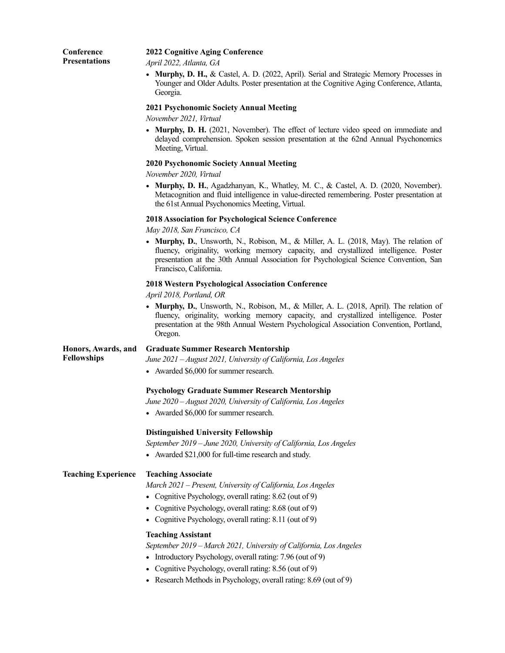| Conference<br><b>Presentations</b> | <b>2022 Cognitive Aging Conference</b><br>April 2022, Atlanta, GA                                                                                                                                                                                                                                |
|------------------------------------|--------------------------------------------------------------------------------------------------------------------------------------------------------------------------------------------------------------------------------------------------------------------------------------------------|
|                                    | • Murphy, D. H., & Castel, A. D. (2022, April). Serial and Strategic Memory Processes in<br>Younger and Older Adults. Poster presentation at the Cognitive Aging Conference, Atlanta,<br>Georgia.                                                                                                |
|                                    | 2021 Psychonomic Society Annual Meeting<br>November 2021, Virtual                                                                                                                                                                                                                                |
|                                    | • Murphy, D. H. (2021, November). The effect of lecture video speed on immediate and<br>delayed comprehension. Spoken session presentation at the 62nd Annual Psychonomics<br>Meeting, Virtual.                                                                                                  |
|                                    | <b>2020 Psychonomic Society Annual Meeting</b><br>November 2020, Virtual                                                                                                                                                                                                                         |
|                                    | • Murphy, D. H., Agadzhanyan, K., Whatley, M. C., & Castel, A. D. (2020, November).<br>Metacognition and fluid intelligence in value-directed remembering. Poster presentation at<br>the 61st Annual Psychonomics Meeting, Virtual.                                                              |
|                                    | <b>2018 Association for Psychological Science Conference</b><br>May 2018, San Francisco, CA                                                                                                                                                                                                      |
|                                    | • Murphy, D., Unsworth, N., Robison, M., & Miller, A. L. (2018, May). The relation of<br>fluency, originality, working memory capacity, and crystallized intelligence. Poster<br>presentation at the 30th Annual Association for Psychological Science Convention, San<br>Francisco, California. |
|                                    | <b>2018 Western Psychological Association Conference</b><br>April 2018, Portland, OR                                                                                                                                                                                                             |
|                                    | • Murphy, D., Unsworth, N., Robison, M., & Miller, A. L. (2018, April). The relation of<br>fluency, originality, working memory capacity, and crystallized intelligence. Poster<br>presentation at the 98th Annual Western Psychological Association Convention, Portland,<br>Oregon.            |
| Honors, Awards, and                | <b>Graduate Summer Research Mentorship</b>                                                                                                                                                                                                                                                       |
| <b>Fellowships</b>                 | June 2021 – August 2021, University of California, Los Angeles                                                                                                                                                                                                                                   |
|                                    | • Awarded \$6,000 for summer research.                                                                                                                                                                                                                                                           |
|                                    | <b>Psychology Graduate Summer Research Mentorship</b>                                                                                                                                                                                                                                            |
|                                    | June 2020 - August 2020, University of California, Los Angeles                                                                                                                                                                                                                                   |
|                                    | • Awarded \$6,000 for summer research.                                                                                                                                                                                                                                                           |
|                                    | <b>Distinguished University Fellowship</b>                                                                                                                                                                                                                                                       |
|                                    | September 2019 - June 2020, University of California, Los Angeles                                                                                                                                                                                                                                |
|                                    | • Awarded \$21,000 for full-time research and study.                                                                                                                                                                                                                                             |
| <b>Teaching Experience</b>         | <b>Teaching Associate</b>                                                                                                                                                                                                                                                                        |
|                                    | March 2021 - Present, University of California, Los Angeles                                                                                                                                                                                                                                      |
|                                    | • Cognitive Psychology, overall rating: 8.62 (out of 9)                                                                                                                                                                                                                                          |
|                                    | Cognitive Psychology, overall rating: 8.68 (out of 9)                                                                                                                                                                                                                                            |
|                                    | • Cognitive Psychology, overall rating: 8.11 (out of 9)                                                                                                                                                                                                                                          |
|                                    | <b>Teaching Assistant</b>                                                                                                                                                                                                                                                                        |
|                                    | September 2019 - March 2021, University of California, Los Angeles                                                                                                                                                                                                                               |
|                                    | Introductory Psychology, overall rating: 7.96 (out of 9)                                                                                                                                                                                                                                         |
|                                    | • Cognitive Psychology, overall rating: 8.56 (out of 9)                                                                                                                                                                                                                                          |
|                                    | • Research Methods in Psychology, overall rating: 8.69 (out of 9)                                                                                                                                                                                                                                |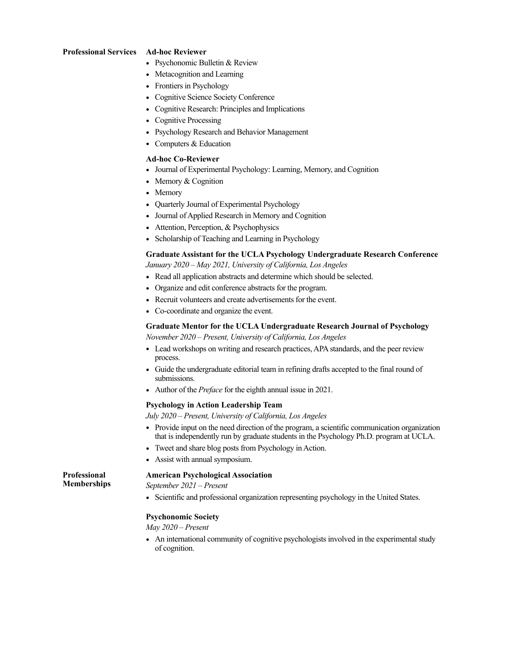#### **Professional Services Ad-hoc Reviewer**

- Psychonomic Bulletin & Review
- Metacognition and Learning
- Frontiers in Psychology
- Cognitive Science Society Conference
- Cognitive Research: Principles and Implications
- Cognitive Processing
- Psychology Research and Behavior Management
- Computers & Education

#### **Ad-hoc Co-Reviewer**

- Journal of Experimental Psychology: Learning, Memory, and Cognition
- Memory & Cognition
- Memory
- Quarterly Journal of Experimental Psychology
- Journal of Applied Research in Memory and Cognition
- Attention, Perception, & Psychophysics
- Scholarship of Teaching and Learning in Psychology

# **Graduate Assistant for the UCLA Psychology Undergraduate Research Conference**

*January 2020 – May 2021, University of California, Los Angeles* 

- Read all application abstracts and determine which should be selected.
- Organize and edit conference abstracts for the program.
- Recruit volunteers and create advertisements for the event.
- Co-coordinate and organize the event.

# **Graduate Mentor for the UCLA Undergraduate Research Journal of Psychology**

*November 2020 – Present, University of California, Los Angeles* 

- Lead workshops on writing and research practices, APA standards, and the peer review process.
- Guide the undergraduate editorial team in refining drafts accepted to the final round of submissions.
- Author of the *Preface* for the eighth annual issue in 2021.

# **Psychology in Action Leadership Team**

*July 2020 – Present, University of California, Los Angeles* 

- Provide input on the need direction of the program, a scientific communication organization that is independently run by graduate students in the Psychology Ph.D. program at UCLA.
- Tweet and share blog posts from Psychology in Action.
- Assist with annual symposium.

#### **American Psychological Association**

*September 2021 – Present*

**Professional Memberships**

• Scientific and professional organization representing psychology in the United States.

# **Psychonomic Society**

*May 2020 – Present*

• An international community of cognitive psychologists involved in the experimental study of cognition.